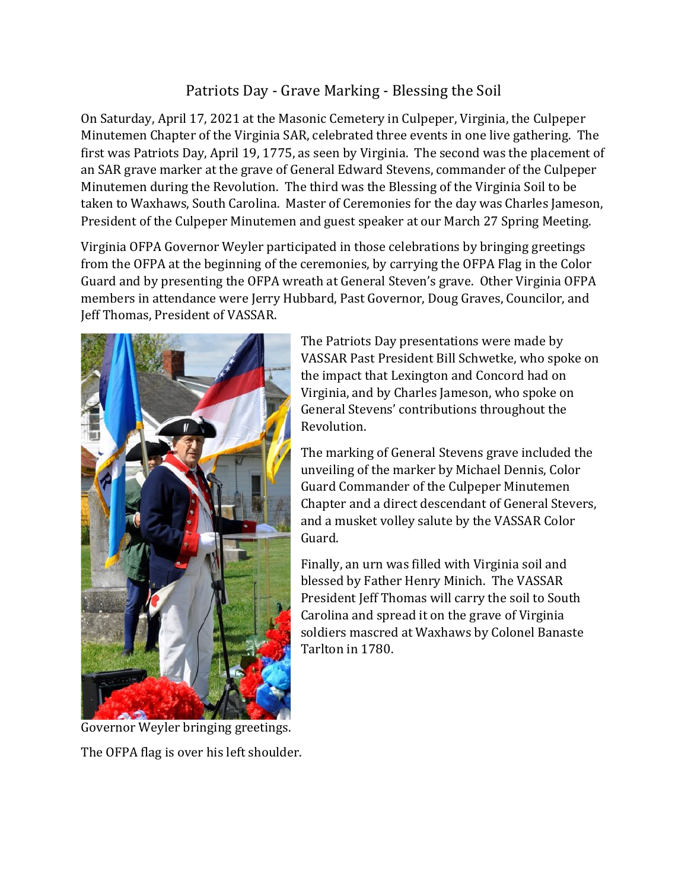## Patriots Day - Grave Marking - Blessing the Soil

On Saturday, April 17, 2021 at the Masonic Cemetery in Culpeper, Virginia, the Culpeper Minutemen Chapter of the Virginia SAR, celebrated three events in one live gathering. The first was Patriots Day, April 19, 1775, as seen by Virginia. The second was the placement of an SAR grave marker at the grave of General Edward Stevens, commander of the Culpeper Minutemen during the Revolution. The third was the Blessing of the Virginia Soil to be taken to Waxhaws, South Carolina. Master of Ceremonies for the day was Charles Jameson, President of the Culpeper Minutemen and guest speaker at our March 27 Spring Meeting.

Virginia OFPA Governor Weyler participated in those celebrations by bringing greetings from the OFPA at the beginning of the ceremonies, by carrying the OFPA Flag in the Color Guard and by presenting the OFPA wreath at General Steven's grave. Other Virginia OFPA members in attendance were Jerry Hubbard, Past Governor, Doug Graves, Councilor, and Jeff Thomas, President of VASSAR.



Governor Weyler bringing greetings.

The OFPA flag is over his left shoulder.

The Patriots Day presentations were made by VASSAR Past President Bill Schwetke, who spoke on the impact that Lexington and Concord had on Virginia, and by Charles Jameson, who spoke on General Stevens' contributions throughout the Revolution.

The marking of General Stevens grave included the unveiling of the marker by Michael Dennis, Color Guard Commander of the Culpeper Minutemen Chapter and a direct descendant of General Stevers, and a musket volley salute by the VASSAR Color Guard.

Finally, an urn was filled with Virginia soil and blessed by Father Henry Minich. The VASSAR President Jeff Thomas will carry the soil to South Carolina and spread it on the grave of Virginia soldiers mascred at Waxhaws by Colonel Banaste Tarlton in 1780.